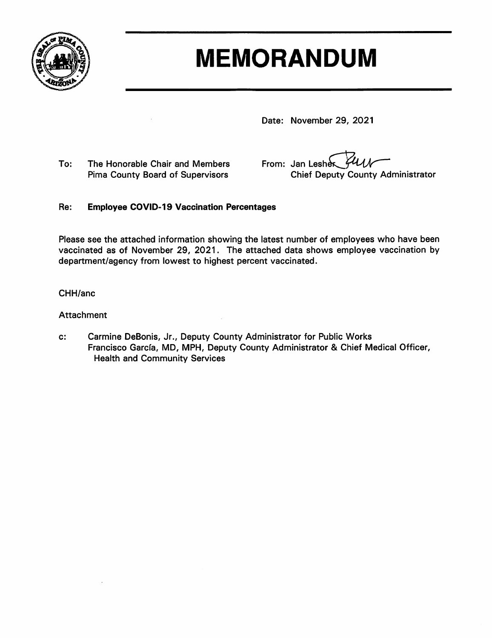

# **MEMORANDUM**

Date: November 29, 2021

To: The Honorable Chair and Members Pima County Board of Supervisors

From: Jan Lesher **Chief Deputy County Administrator** 

#### Re: **Employee COVID-19 Vaccination Percentages**

Please see the attached information showing the latest number of employees who have been vaccinated as of November 29, 2021. The attached data shows employee vaccination by department/agency from lowest to highest percent vaccinated.

#### CHH/anc

### Attachment

Carmine DeBonis, Jr., Deputy County Administrator for Public Works  $c$ : Francisco García, MD, MPH, Deputy County Administrator & Chief Medical Officer, **Health and Community Services**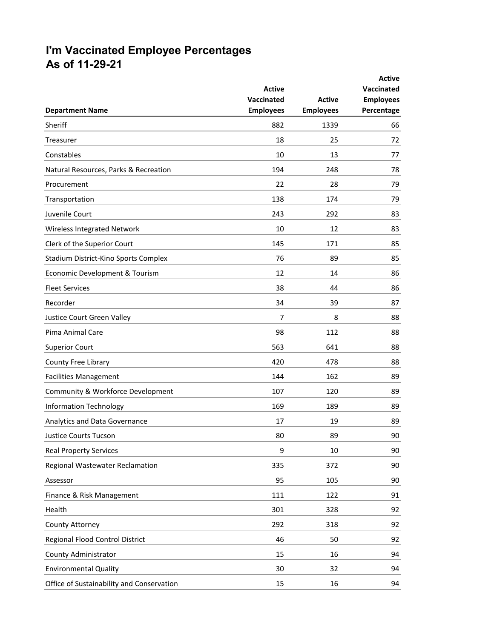# **I'm Vaccinated Employee Percentages As of 11-29-21**

|                                           | <b>Active</b><br>Vaccinated | <b>Active</b>    | <b>Active</b><br>Vaccinated<br><b>Employees</b> |
|-------------------------------------------|-----------------------------|------------------|-------------------------------------------------|
| <b>Department Name</b>                    | <b>Employees</b>            | <b>Employees</b> | Percentage                                      |
| Sheriff                                   | 882                         | 1339             | 66                                              |
| Treasurer                                 | 18                          | 25               | 72                                              |
| Constables                                | 10                          | 13               | 77                                              |
| Natural Resources, Parks & Recreation     | 194                         | 248              | 78                                              |
| Procurement                               | 22                          | 28               | 79                                              |
| Transportation                            | 138                         | 174              | 79                                              |
| Juvenile Court                            | 243                         | 292              | 83                                              |
| Wireless Integrated Network               | 10                          | 12               | 83                                              |
| Clerk of the Superior Court               | 145                         | 171              | 85                                              |
| Stadium District-Kino Sports Complex      | 76                          | 89               | 85                                              |
| Economic Development & Tourism            | 12                          | 14               | 86                                              |
| <b>Fleet Services</b>                     | 38                          | 44               | 86                                              |
| Recorder                                  | 34                          | 39               | 87                                              |
| Justice Court Green Valley                | 7                           | 8                | 88                                              |
| Pima Animal Care                          | 98                          | 112              | 88                                              |
| <b>Superior Court</b>                     | 563                         | 641              | 88                                              |
| County Free Library                       | 420                         | 478              | 88                                              |
| <b>Facilities Management</b>              | 144                         | 162              | 89                                              |
| Community & Workforce Development         | 107                         | 120              | 89                                              |
| <b>Information Technology</b>             | 169                         | 189              | 89                                              |
| Analytics and Data Governance             | 17                          | 19               | 89                                              |
| Justice Courts Tucson                     | 80                          | 89               | 90                                              |
| <b>Real Property Services</b>             | 9                           | 10               | 90                                              |
| Regional Wastewater Reclamation           | 335                         | 372              | 90                                              |
| Assessor                                  | 95                          | 105              | 90                                              |
| Finance & Risk Management                 | 111                         | 122              | 91                                              |
| Health                                    | 301                         | 328              | 92                                              |
| County Attorney                           | 292                         | 318              | 92                                              |
| Regional Flood Control District           | 46                          | 50               | 92                                              |
| County Administrator                      | 15                          | 16               | 94                                              |
| <b>Environmental Quality</b>              | 30                          | 32               | 94                                              |
| Office of Sustainability and Conservation | 15                          | 16               | 94                                              |